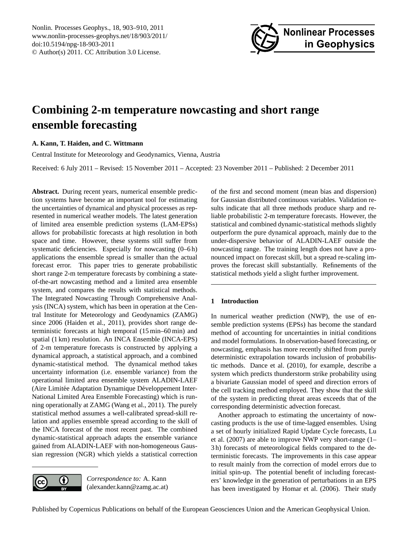<span id="page-0-0"></span>Nonlin. Processes Geophys., 18, 903–910, 2011 www.nonlin-processes-geophys.net/18/903/2011/ doi:10.5194/npg-18-903-2011 © Author(s) 2011. CC Attribution 3.0 License.



# **Combining 2-m temperature nowcasting and short range ensemble forecasting**

# **A. Kann, T. Haiden, and C. Wittmann**

Central Institute for Meteorology and Geodynamics, Vienna, Austria

Received: 6 July 2011 – Revised: 15 November 2011 – Accepted: 23 November 2011 – Published: 2 December 2011

**Abstract.** During recent years, numerical ensemble prediction systems have become an important tool for estimating the uncertainties of dynamical and physical processes as represented in numerical weather models. The latest generation of limited area ensemble prediction systems (LAM-EPSs) allows for probabilistic forecasts at high resolution in both space and time. However, these systems still suffer from systematic deficiencies. Especially for nowcasting  $(0-6 h)$ applications the ensemble spread is smaller than the actual forecast error. This paper tries to generate probabilistic short range 2-m temperature forecasts by combining a stateof-the-art nowcasting method and a limited area ensemble system, and compares the results with statistical methods. The Integrated Nowcasting Through Comprehensive Analysis (INCA) system, which has been in operation at the Central Institute for Meteorology and Geodynamics (ZAMG) since 2006 (Haiden et al., 2011), provides short range deterministic forecasts at high temporal (15 min–60 min) and spatial (1 km) resolution. An INCA Ensemble (INCA-EPS) of 2-m temperature forecasts is constructed by applying a dynamical approach, a statistical approach, and a combined dynamic-statistical method. The dynamical method takes uncertainty information (i.e. ensemble variance) from the operational limited area ensemble system ALADIN-LAEF (Aire Limitée Adaptation Dynamique Développement Inter-National Limited Area Ensemble Forecasting) which is running operationally at ZAMG (Wang et al., 2011). The purely statistical method assumes a well-calibrated spread-skill relation and applies ensemble spread according to the skill of the INCA forecast of the most recent past. The combined dynamic-statistical approach adapts the ensemble variance gained from ALADIN-LAEF with non-homogeneous Gaussian regression (NGR) which yields a statistical correction

*Correspondence to:* A. Kann 0 (cc (alexander.kann@zamg.ac.at) of the first and second moment (mean bias and dispersion) for Gaussian distributed continuous variables. Validation results indicate that all three methods produce sharp and reliable probabilistic 2-m temperature forecasts. However, the statistical and combined dynamic-statistical methods slightly outperform the pure dynamical approach, mainly due to the under-dispersive behavior of ALADIN-LAEF outside the nowcasting range. The training length does not have a pronounced impact on forecast skill, but a spread re-scaling improves the forecast skill substantially. Refinements of the statistical methods yield a slight further improvement.

## **1 Introduction**

In numerical weather prediction (NWP), the use of ensemble prediction systems (EPSs) has become the standard method of accounting for uncertainties in initial conditions and model formulations. In observation-based forecasting, or nowcasting, emphasis has more recently shifted from purely deterministic extrapolation towards inclusion of probabilistic methods. Dance et al. (2010), for example, describe a system which predicts thunderstorm strike probability using a bivariate Gaussian model of speed and direction errors of the cell tracking method employed. They show that the skill of the system in predicting threat areas exceeds that of the corresponding deterministic advection forecast.

Another approach to estimating the uncertainty of nowcasting products is the use of time-lagged ensembles. Using a set of hourly initialized Rapid Update Cycle forecasts, Lu et al. (2007) are able to improve NWP very short-range (1– 3 h) forecasts of meteorological fields compared to the deterministic forecasts. The improvements in this case appear to result mainly from the correction of model errors due to initial spin-up. The potential benefit of including forecasters' knowledge in the generation of perturbations in an EPS has been investigated by Homar et al. (2006). Their study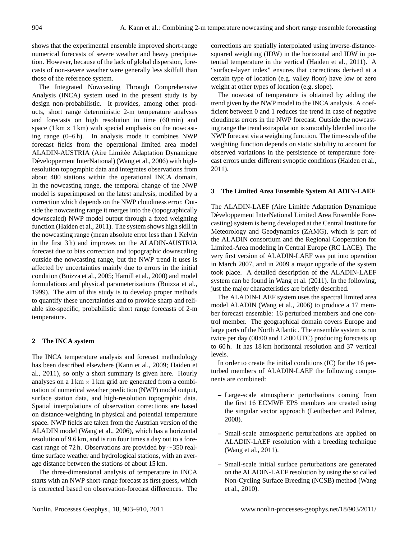shows that the experimental ensemble improved short-range numerical forecasts of severe weather and heavy precipitation. However, because of the lack of global dispersion, forecasts of non-severe weather were generally less skilfull than those of the reference system.

The Integrated Nowcasting Through Comprehensive Analysis (INCA) system used in the present study is by design non-probabilistic. It provides, among other products, short range deterministic 2-m temperature analyses and forecasts on high resolution in time (60 min) and space (1 km  $\times$  1 km) with special emphasis on the nowcasting range  $(0-6h)$ . In analysis mode it combines NWP forecast fields from the operational limited area model ALADIN-AUSTRIA (Aire Limitée Adaptation Dynamique Développement InterNational) (Wang et al., 2006) with highresolution topographic data and integrates observations from about 400 stations within the operational INCA domain. In the nowcasting range, the temporal change of the NWP model is superimposed on the latest analysis, modified by a correction which depends on the NWP cloudiness error. Outside the nowcasting range it merges into the (topographically downscaled) NWP model output through a fixed weighting function (Haiden et al., 2011). The system shows high skill in the nowcasting range (mean absolute error less than 1 Kelvin in the first 3 h) and improves on the ALADIN-AUSTRIA forecast due to bias correction and topographic downscaling outside the nowcasting range, but the NWP trend it uses is affected by uncertainties mainly due to errors in the initial condition (Buizza et al., 2005; Hamill et al., 2000) and model formulations and physical parameterizations (Buizza et al., 1999). The aim of this study is to develop proper methods to quantify these uncertainties and to provide sharp and reliable site-specific, probabilistic short range forecasts of 2-m temperature.

## **2 The INCA system**

The INCA temperature analysis and forecast methodology has been described elsewhere (Kann et al., 2009; Haiden et al., 2011), so only a short summary is given here. Hourly analyses on a  $1 \text{ km} \times 1 \text{ km}$  grid are generated from a combination of numerical weather prediction (NWP) model output, surface station data, and high-resolution topographic data. Spatial interpolations of observation corrections are based on distance-weighting in physical and potential temperature space. NWP fields are taken from the Austrian version of the ALADIN model (Wang et al., 2006), which has a horizontal resolution of 9.6 km, and is run four times a day out to a forecast range of 72 h. Observations are provided by ∼350 realtime surface weather and hydrological stations, with an average distance between the stations of about 15 km.

The three-dimensional analysis of temperature in INCA starts with an NWP short-range forecast as first guess, which is corrected based on observation-forecast differences. The corrections are spatially interpolated using inverse-distancesquared weighting (IDW) in the horizontal and IDW in potential temperature in the vertical (Haiden et al., 2011). A "surface-layer index" ensures that corrections derived at a certain type of location (e.g. valley floor) have low or zero weight at other types of location (e.g. slope).

The nowcast of temperature is obtained by adding the trend given by the NWP model to the INCA analysis. A coefficient between 0 and 1 reduces the trend in case of negative cloudiness errors in the NWP forecast. Outside the nowcasting range the trend extrapolation is smoothly blended into the NWP forecast via a weighting function. The time-scale of the weighting function depends on static stability to account for observed variations in the persistence of temperature forecast errors under different synoptic conditions (Haiden et al., 2011).

## **3 The Limited Area Ensemble System ALADIN-LAEF**

The ALADIN-LAEF (Aire Limitée Adaptation Dynamique Développement InterNational Limited Area Ensemble Forecasting) system is being developed at the Central Institute for Meteorology and Geodynamics (ZAMG), which is part of the ALADIN consortium and the Regional Cooperation for Limited-Area modeling in Central Europe (RC LACE). The very first version of ALADIN-LAEF was put into operation in March 2007, and in 2009 a major upgrade of the system took place. A detailed description of the ALADIN-LAEF system can be found in Wang et al. (2011). In the following, just the major characteristics are briefly described.

The ALADIN-LAEF system uses the spectral limited area model ALADIN (Wang et al., 2006) to produce a 17 member forecast ensemble: 16 perturbed members and one control member. The geographical domain covers Europe and large parts of the North Atlantic. The ensemble system is run twice per day (00:00 and 12:00 UTC) producing forecasts up to 60 h. It has 18 km horizontal resolution and 37 vertical levels.

In order to create the initial conditions (IC) for the 16 perturbed members of ALADIN-LAEF the following components are combined:

- **–** Large-scale atmospheric perturbations coming from the first 16 ECMWF EPS members are created using the singular vector approach (Leutbecher and Palmer, 2008).
- **–** Small-scale atmospheric perturbations are applied on ALADIN-LAEF resolution with a breeding technique (Wang et al., 2011).
- **–** Small-scale initial surface perturbations are generated on the ALADIN-LAEF resolution by using the so called Non-Cycling Surface Breeding (NCSB) method (Wang et al., 2010).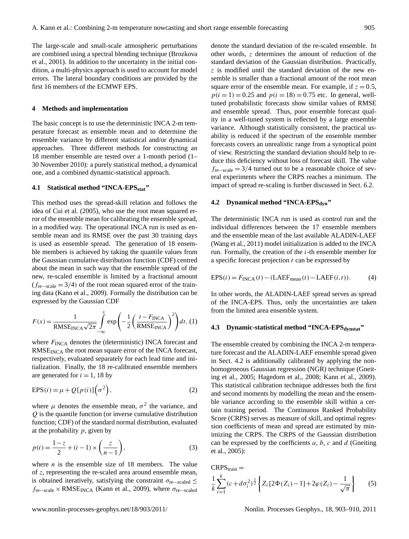The large-scale and small-scale atmospheric perturbations are combined using a spectral blending technique (Brozkova et al., 2001). In addition to the uncertainty in the initial condition, a multi-physics approach is used to account for model errors. The lateral boundary conditions are provided by the first 16 members of the ECMWF EPS.

## **4 Methods and implementation**

The basic concept is to use the deterministic INCA 2-m temperature forecast as ensemble mean and to determine the ensemble variance by different statistical and/or dynamical approaches. Three different methods for constructing an 18 member ensemble are tested over a 1-month period (1– 30 November 2010): a purely statistical method, a dynamical one, and a combined dynamic-statistical approach.

# **4.1 Statistical method "INCA-EPSstat"**

This method uses the spread-skill relation and follows the idea of Cui et al. (2005), who use the root mean squared error of the ensemble mean for calibrating the ensemble spread, in a modified way. The operational INCA run is used as ensemble mean and its RMSE over the past 30 training days is used as ensemble spread. The generation of 18 ensemble members is achieved by taking the quantile values from the Gaussian cumulative distribution function (CDF) centred about the mean in such way that the ensemble spread of the new, re-scaled ensemble is limited by a fractional amount  $(f_{re-scale} = 3/4)$  of the root mean squared error of the training data (Kann et al., 2009). Formally the distribution can be expressed by the Gaussian CDF

$$
F(x) = \frac{1}{\text{RMSE}_{\text{INCA}}\sqrt{2\pi}} \int_{-\infty}^{x} \exp\left(-\frac{1}{2}\left(\frac{t - F_{\text{INCA}}}{\text{RMSE}_{\text{INCA}}}\right)^{2}\right) dt, (1)
$$

where  $F_{\text{INCA}}$  denotes the (deterministic) INCA forecast and RMSE<sub>INCA</sub> the root mean square error of the INCA forecast, respectively, evaluated separately for each lead time and initialization. Finally, the 18 re-calibrated ensemble members are generated for  $i = 1$ , 18 by

$$
EPS(i) = \mu + Q[p(i)](\sigma^2), \qquad (2)
$$

where  $\mu$  denotes the ensemble mean,  $\sigma^2$  the variance, and Q is the quantile function (or inverse cumulative distribution function; CDF) of the standard normal distribution, evaluated at the probability  $p$ , given by

$$
p(i) = \frac{1-z}{2} + (i-1) \times \left(\frac{z}{n-1}\right),
$$
 (3)

where  $n$  is the ensemble size of 18 members. The value of z, representing the re-scaled area around ensemble mean, is obtained iteratively, satisfying the constraint  $\sigma_{\text{re}-\text{scaled}} \leq$  $f_{\text{re-scale}} \times \text{RMSE}_{\text{INCA}}$  (Kann et al., 2009), where  $\sigma_{\text{re-scaled}}$  denote the standard deviation of the re-scaled ensemble. In other words, z determines the amount of reduction of the standard deviation of the Gaussian distribution. Practically,  $\zeta$  is modified until the standard deviation of the new ensemble is smaller than a fractional amount of the root mean square error of the ensemble mean. For example, if  $z = 0.5$ ,  $p(i = 1) = 0.25$  and  $p(i = 18) = 0.75$  etc. In general, welltuned probabilistic forecasts show similar values of RMSE and ensemble spread. Thus, poor ensemble forecast quality in a well-tuned system is reflected by a large ensemble variance. Although statistically consistent, the practical usability is reduced if the spectrum of the ensemble member forecasts covers an unrealistic range from a synoptical point of view. Restricting the standard deviation should help to reduce this deficiency without loss of forecast skill. The value fre−scale = 3/4 turned out to be a reasonable choice of several experiments where the CRPS reaches a minimum. The impact of spread re-scaling is further discussed in Sect. 6.2.

# **4.2 Dynamical method "INCA-EPSdyn"**

The deterministic INCA run is used as control run and the individual differences between the 17 ensemble members and the ensemble mean of the last available ALADIN-LAEF (Wang et al., 2011) model initialization is added to the INCA run. Formally, the creation of the  $i$ -th ensemble member for a specific forecast projection  $t$  can be expressed by

$$
EPS(i) = F_{INCA}(t) - (LAEF_{mean}(t) - LAEF(i, t)).
$$
 (4)

In other words, the ALADIN-LAEF spread serves as spread of the INCA-EPS. Thus, only the uncertainties are taken from the limited area ensemble system.

#### **4.3 Dynamic-statistical method "INCA-EPSdynstat"**

The ensemble created by combining the INCA 2-m temperature forecast and the ALADIN-LAEF ensemble spread given in Sect. 4.2 is additionally calibrated by applying the nonhomogeneous Gaussian regression (NGR) technique (Gneiting et al., 2005; Hagedorn et al., 2008; Kann et al., 2009). This statistical calibration technique addresses both the first and second moments by modelling the mean and the ensemble variance according to the ensemble skill within a certain training period. The Continuous Ranked Probability Score (CRPS) serves as measure of skill, and optimal regression coefficients of mean and spread are estimated by minimizing the CRPS. The CRPS of the Gaussian distribution can be expressed by the coefficients  $a, b, c$  and  $d$  (Gneiting et al., 2005):

CRPS<sub>train</sub> =  
\n
$$
\frac{1}{k} \sum_{i=1}^{k} (c + d\sigma_i^2)^{\frac{1}{2}} \left\{ Z_i \left[ 2\Phi(Z_i) - 1 \right] + 2\varphi(Z_i) - \frac{1}{\sqrt{\pi}} \right\}
$$
(5)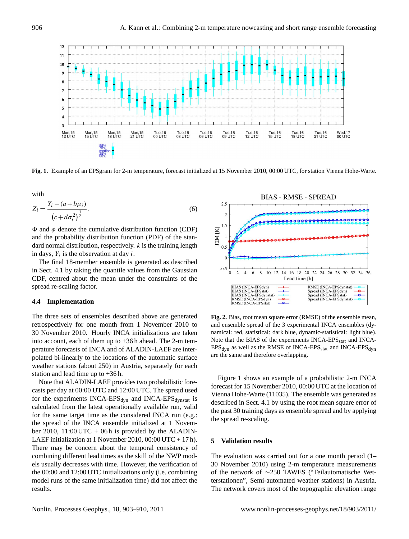

**Fig. 1.** Example of an EPSgram for 2-m temperature, forecast initialized at 15 November 2010, 00:00 UTC, for station Vienna Hohe-Warte.

with

$$
Z_i = \frac{Y_i - (a + b\mu_i)}{(c + d\sigma_i^2)^{\frac{1}{2}}}.
$$
\n(6)

 $\Phi$  and  $\phi$  denote the cumulative distribution function (CDF) and the probability distribution function (PDF) of the standard normal distribution, respectively. k is the training length in days,  $Y_i$  is the observation at day i.

The final 18-member ensemble is generated as described in Sect. 4.1 by taking the quantile values from the Gaussian CDF, centred about the mean under the constraints of the spread re-scaling factor.

#### **4.4 Implementation**

The three sets of ensembles described above are generated retrospectively for one month from 1 November 2010 to 30 November 2010. Hourly INCA initializations are taken into account, each of them up to +36 h ahead. The 2-m temperature forecasts of INCA and of ALADIN-LAEF are interpolated bi-linearly to the locations of the automatic surface weather stations (about 250) in Austria, separately for each station and lead time up to +36 h.

Note that ALADIN-LAEF provides two probabilistic forecasts per day at 00:00 UTC and 12:00 UTC. The spread used for the experiments  $INCA-EPS<sub>dyn</sub>$  and  $INCA-EPS<sub>dynstat</sub>$  is calculated from the latest operationally available run, valid for the same target time as the considered INCA run (e.g.: the spread of the INCA ensemble initialized at 1 November 2010, 11:00 UTC + 06 h is provided by the ALADIN-LAEF initialization at 1 November 2010, 00:00 UTC + 17 h). There may be concern about the temporal consistency of combining different lead times as the skill of the NWP models usually decreases with time. However, the verification of the 00:00 and 12:00 UTC initializations only (i.e. combining model runs of the same initialization time) did not affect the results.



**Fig. 2.** Bias, root mean square error (RMSE) of the ensemble mean, and ensemble spread of the 3 experimental INCA ensembles (dynamical: red, statistical: dark blue, dynamic-statistical: light blue). Note that the BIAS of the experiments INCA-EPS<sub>stat</sub> and INCA- $EPS<sub>dyn</sub>$  as well as the RMSE of INCA-EPS<sub>stat</sub> and INCA-EPS<sub>dyn</sub> are the same and therefore overlapping.

Figure 1 shows an example of a probabilistic 2-m INCA forecast for 15 November 2010, 00:00 UTC at the location of Vienna Hohe-Warte (11035). The ensemble was generated as described in Sect. 4.1 by using the root mean square error of the past 30 training days as ensemble spread and by applying the spread re-scaling.

## **5 Validation results**

The evaluation was carried out for a one month period (1– 30 November 2010) using 2-m temperature measurements of the network of ∼250 TAWES ("Teilautomatische Wetterstationen", Semi-automated weather stations) in Austria. The network covers most of the topographic elevation range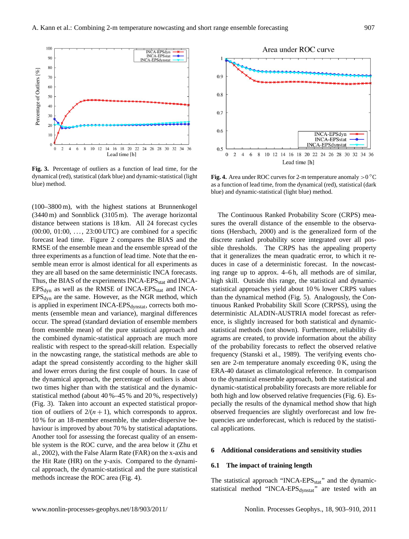

**Fig. 3.** Percentage of outliers as a function of lead time, for the dynamical (red), statistical (dark blue) and dynamic-statistical (light blue) method.

(100–3800 m), with the highest stations at Brunnenkogel (3440 m) and Sonnblick (3105 m). The average horizontal distance between stations is 18 km. All 24 forecast cycles  $(00:00, 01:00, \ldots, 23:00 \text{ UTC})$  are combined for a specific forecast lead time. Figure 2 compares the BIAS and the RMSE of the ensemble mean and the ensemble spread of the three experiments as a function of lead time. Note that the ensemble mean error is almost identical for all experiments as they are all based on the same deterministic INCA forecasts. Thus, the BIAS of the experiments INCA-EPS<sub>stat</sub> and INCA- $EPS_{dyn}$  as well as the RMSE of INCA-EPS<sub>stat</sub> and INCA- $EPS<sub>dyn</sub>$  are the same. However, as the NGR method, which is applied in experiment INCA-EPS<sub>dynstat</sub>, corrects both moments (ensemble mean and variance), marginal differences occur. The spread (standard deviation of ensemble members from ensemble mean) of the pure statistical approach and the combined dynamic-statistical approach are much more realistic with respect to the spread-skill relation. Especially in the nowcasting range, the statistical methods are able to adapt the spread consistently according to the higher skill and lower errors during the first couple of hours. In case of the dynamical approach, the percentage of outliers is about two times higher than with the statistical and the dynamicstatistical method (about 40 %–45 % and 20 %, respectively) (Fig. 3). Taken into account an expected statistical proportion of outliers of  $2/(n + 1)$ , which corresponds to approx. 10 % for an 18-member ensemble, the under-dispersive behaviour is improved by about 70 % by statistical adaptations. Another tool for assessing the forecast quality of an ensemble system is the ROC curve, and the area below it (Zhu et al., 2002), with the False Alarm Rate (FAR) on the x-axis and the Hit Rate (HR) on the y-axis. Compared to the dynamical approach, the dynamic-statistical and the pure statistical methods increase the ROC area (Fig. 4).



**Fig. 4.** Area under ROC curves for 2-m temperature anomaly  $>0$  °C as a function of lead time, from the dynamical (red), statistical (dark blue) and dynamic-statistical (light blue) method.

The Continuous Ranked Probability Score (CRPS) measures the overall distance of the ensemble to the observations (Hersbach, 2000) and is the generalized form of the discrete ranked probability score integrated over all possible thresholds. The CRPS has the appealing property that it generalizes the mean quadratic error, to which it reduces in case of a deterministic forecast. In the nowcasting range up to approx. 4–6 h, all methods are of similar, high skill. Outside this range, the statistical and dynamicstatistical approaches yield about 10 % lower CRPS values than the dynamical method (Fig. 5). Analogously, the Continuous Ranked Probability Skill Score (CRPSS), using the deterministic ALADIN-AUSTRIA model forecast as reference, is slightly increased for both statistical and dynamicstatistical methods (not shown). Furthermore, reliability diagrams are created, to provide information about the ability of the probability forecasts to reflect the observed relative frequency (Stanski et al., 1989). The verifying events chosen are 2-m temperature anomaly exceeding 0 K, using the ERA-40 dataset as climatological reference. In comparison to the dynamical ensemble approach, both the statistical and dynamic-statistical probability forecasts are more reliable for both high and low observed relative frequencies (Fig. 6). Especially the results of the dynamical method show that high observed frequencies are slightly overforecast and low frequencies are underforecast, which is reduced by the statistical applications.

#### **6 Additional considerations and sensitivity studies**

# **6.1 The impact of training length**

The statistical approach "INCA-EPS<sub>stat</sub>" and the dynamicstatistical method "INCA-EPS<sub>dynstat</sub>" are tested with an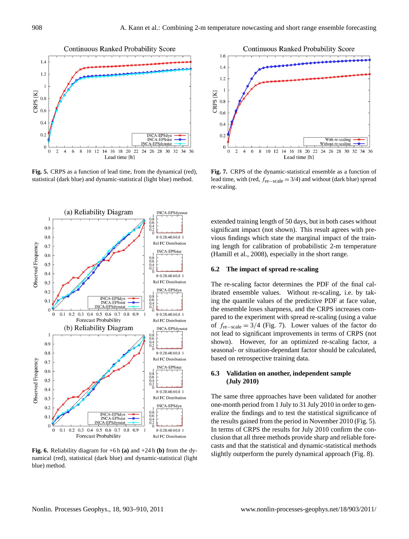

**Fig. 5.** CRPS as a function of lead time, from the dynamical (red), statistical (dark blue) and dynamic-statistical (light blue) method.



**Fig. 6.** Reliability diagram for +6 h **(a)** and +24 h **(b)** from the dynamical (red), statistical (dark blue) and dynamic-statistical (light blue) method.



**Fig. 7.** CRPS of the dynamic-statistical ensemble as a function of lead time, with (red,  $f_{\text{re}-\text{scale}} = 3/4$ ) and without (dark blue) spread re-scaling.

extended training length of 50 days, but in both cases without significant impact (not shown). This result agrees with previous findings which state the marginal impact of the training length for calibration of probabilistic 2-m temperature (Hamill et al., 2008), especially in the short range.

## **6.2 The impact of spread re-scaling**

The re-scaling factor determines the PDF of the final calibrated ensemble values. Without re-scaling, i.e. by taking the quantile values of the predictive PDF at face value, the ensemble loses sharpness, and the CRPS increases compared to the experiment with spread re-scaling (using a value of  $f_{\text{re-scale}} = 3/4$  (Fig. 7). Lower values of the factor do not lead to significant improvements in terms of CRPS (not shown). However, for an optimized re-scaling factor, a seasonal- or situation-dependant factor should be calculated, based on retrospective training data.

# **6.3 Validation on another, independent sample (July 2010)**

The same three approaches have been validated for another one-month period from 1 July to 31 July 2010 in order to generalize the findings and to test the statistical significance of the results gained from the period in November 2010 (Fig. 5). In terms of CRPS the results for July 2010 confirm the conclusion that all three methods provide sharp and reliable forecasts and that the statistical and dynamic-statistical methods slightly outperform the purely dynamical approach (Fig. 8).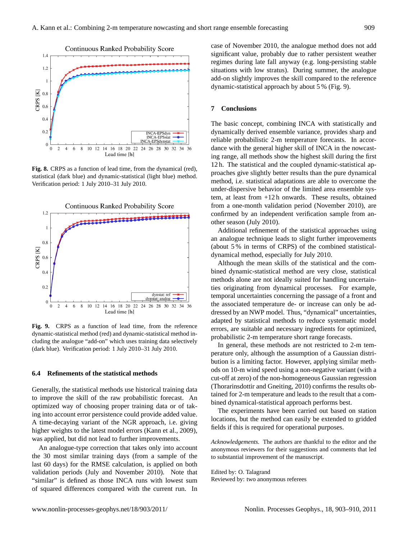

**Fig. 8.** CRPS as a function of lead time, from the dynamical (red), statistical (dark blue) and dynamic-statistical (light blue) method. Verification period: 1 July 2010–31 July 2010.



**Fig. 9.** CRPS as a function of lead time, from the reference dynamic-statistical method (red) and dynamic-statistical method including the analogue "add-on" which uses training data selectively (dark blue). Verification period: 1 July 2010–31 July 2010.

## **6.4 Refinements of the statistical methods**

Generally, the statistical methods use historical training data to improve the skill of the raw probabilistic forecast. An optimized way of choosing proper training data or of taking into account error persistence could provide added value. A time-decaying variant of the NGR approach, i.e. giving higher weights to the latest model errors (Kann et al., 2009), was applied, but did not lead to further improvements.

An analogue-type correction that takes only into account the 30 most similar training days (from a sample of the last 60 days) for the RMSE calculation, is applied on both validation periods (July and November 2010). Note that "similar" is defined as those INCA runs with lowest sum of squared differences compared with the current run. In case of November 2010, the analogue method does not add significant value, probably due to rather persistent weather regimes during late fall anyway (e.g. long-persisting stable situations with low stratus). During summer, the analogue add-on slightly improves the skill compared to the reference dynamic-statistical approach by about 5 % (Fig. 9).

## **7 Conclusions**

The basic concept, combining INCA with statistically and dynamically derived ensemble variance, provides sharp and reliable probabilistic 2-m temperature forecasts. In accordance with the general higher skill of INCA in the nowcasting range, all methods show the highest skill during the first 12 h. The statistical and the coupled dynamic-statistical approaches give slightly better results than the pure dynamical method, i.e. statistical adaptations are able to overcome the under-dispersive behavior of the limited area ensemble system, at least from +12 h onwards. These results, obtained from a one-month validation period (November 2010), are confirmed by an independent verification sample from another season (July 2010).

Additional refinement of the statistical approaches using an analogue technique leads to slight further improvements (about 5 % in terms of CRPS) of the combined statisticaldynamical method, especially for July 2010.

Although the mean skills of the statistical and the combined dynamic-statistical method are very close, statistical methods alone are not ideally suited for handling uncertainties originating from dynamical processes. For example, temporal uncertainties concerning the passage of a front and the associated temperature de- or increase can only be addressed by an NWP model. Thus, "dynamical" uncertainties, adapted by statistical methods to reduce systematic model errors, are suitable and necessary ingredients for optimized, probabilistic 2-m temperature short range forecasts.

In general, these methods are not restricted to 2-m temperature only, although the assumption of a Gaussian distribution is a limiting factor. However, applying similar methods on 10-m wind speed using a non-negative variant (with a cut-off at zero) of the non-homogeneous Gaussian regression (Thorarinsdottir and Gneiting, 2010) confirms the results obtained for 2-m temperature and leads to the result that a combined dynamical-statistical approach performs best.

The experiments have been carried out based on station locations, but the method can easily be extended to gridded fields if this is required for operational purposes.

*Acknowledgements.* The authors are thankful to the editor and the anonymous reviewers for their suggestions and comments that led to substantial improvement of the manuscript.

Edited by: O. Talagrand Reviewed by: two anonymous referees